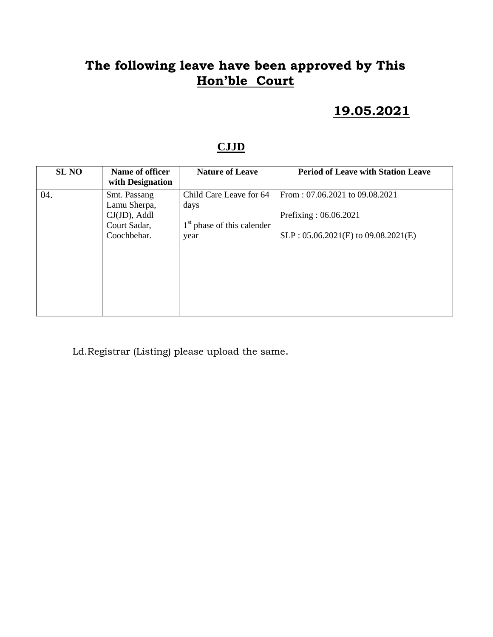### **19.05.2021**

#### **CJJD**

| <b>SL NO</b> | Name of officer<br>with Designation             | <b>Nature of Leave</b>               | <b>Period of Leave with Station Leave</b>               |
|--------------|-------------------------------------------------|--------------------------------------|---------------------------------------------------------|
| 04.          | Smt. Passang<br>Lamu Sherpa,<br>$CJ(JD)$ , Addl | Child Care Leave for 64<br>days      | From: 07.06.2021 to 09.08.2021<br>Prefixing: 06.06.2021 |
|              | Court Sadar,<br>Coochbehar.                     | $1st$ phase of this calender<br>year | $SLP: 05.06.2021(E)$ to $09.08.2021(E)$                 |
|              |                                                 |                                      |                                                         |
|              |                                                 |                                      |                                                         |
|              |                                                 |                                      |                                                         |

Ld.Registrar (Listing) please upload the same.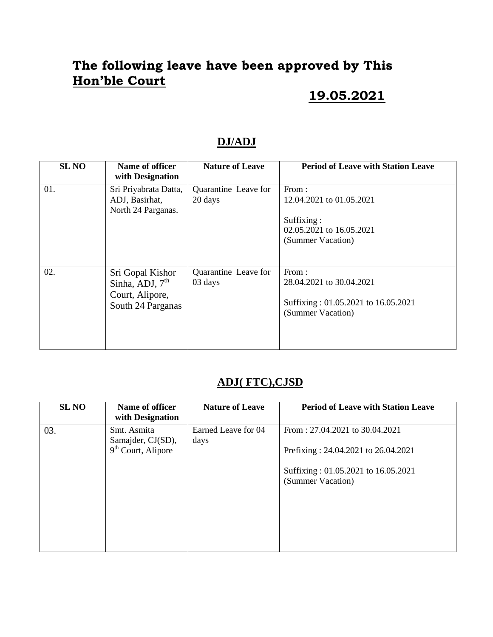## **19.05.2021**

#### **DJ/ADJ**

| <b>SL NO</b> | Name of officer<br>with Designation                                           | <b>Nature of Leave</b>          | <b>Period of Leave with Station Leave</b>                                                        |
|--------------|-------------------------------------------------------------------------------|---------------------------------|--------------------------------------------------------------------------------------------------|
| 01.          | Sri Priyabrata Datta,<br>ADJ, Basirhat,<br>North 24 Parganas.                 | Quarantine Leave for<br>20 days | From:<br>12.04.2021 to 01.05.2021<br>Suffixing:<br>02.05.2021 to 16.05.2021<br>(Summer Vacation) |
| 02.          | Sri Gopal Kishor<br>Sinha, ADJ, $7th$<br>Court, Alipore,<br>South 24 Parganas | Quarantine Leave for<br>03 days | From:<br>28.04.2021 to 30.04.2021<br>Suffixing: 01.05.2021 to 16.05.2021<br>(Summer Vacation)    |

### **ADJ( FTC),CJSD**

| <b>SL NO</b> | Name of officer<br>with Designation | <b>Nature of Leave</b>      | <b>Period of Leave with Station Leave</b>                |
|--------------|-------------------------------------|-----------------------------|----------------------------------------------------------|
| 03.          | Smt. Asmita<br>Samajder, CJ(SD),    | Earned Leave for 04<br>days | From: 27.04.2021 to 30.04.2021                           |
|              | $9th$ Court, Alipore                |                             | Prefixing: 24.04.2021 to 26.04.2021                      |
|              |                                     |                             | Suffixing: 01.05.2021 to 16.05.2021<br>(Summer Vacation) |
|              |                                     |                             |                                                          |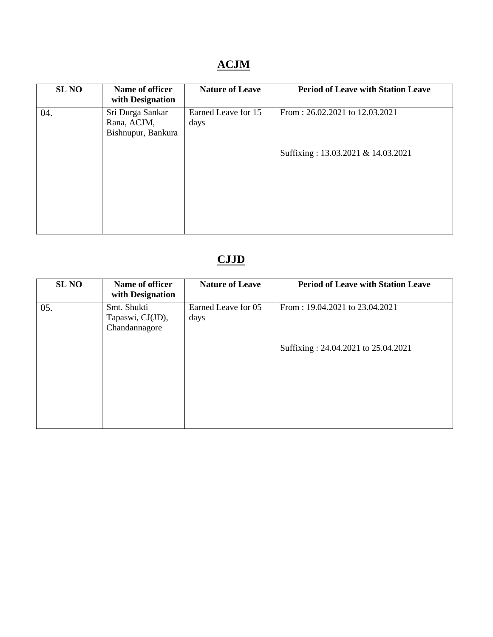## **ACJM**

| <b>SL NO</b> | Name of officer<br>with Designation                   | <b>Nature of Leave</b>      | <b>Period of Leave with Station Leave</b> |
|--------------|-------------------------------------------------------|-----------------------------|-------------------------------------------|
| 04.          | Sri Durga Sankar<br>Rana, ACJM,<br>Bishnupur, Bankura | Earned Leave for 15<br>days | From: 26.02.2021 to 12.03.2021            |
|              |                                                       |                             | Suffixing: 13.03.2021 & 14.03.2021        |

# **CJJD**

| <b>SL NO</b> | Name of officer<br>with Designation              | <b>Nature of Leave</b>      | <b>Period of Leave with Station Leave</b> |
|--------------|--------------------------------------------------|-----------------------------|-------------------------------------------|
| 05.          | Smt. Shukti<br>Tapaswi, CJ(JD),<br>Chandannagore | Earned Leave for 05<br>days | From: 19.04.2021 to 23.04.2021            |
|              |                                                  |                             | Suffixing: 24.04.2021 to 25.04.2021       |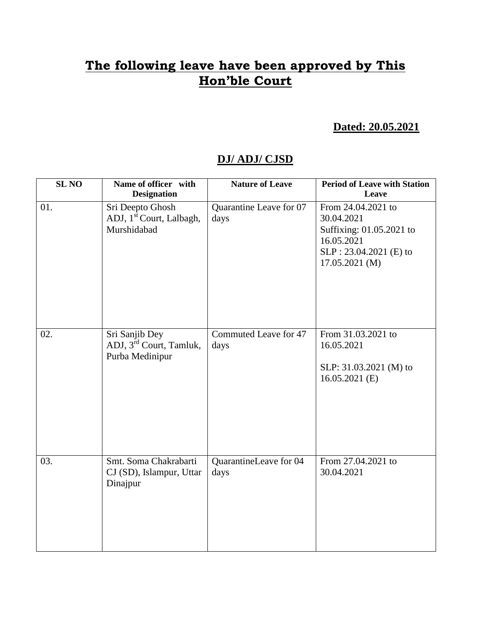#### **Dated: 20.05.2021**

#### **DJ/ ADJ/ CJSD**

| <b>SL NO</b> | Name of officer with<br><b>Designation</b>                               | <b>Nature of Leave</b>          | <b>Period of Leave with Station</b><br>Leave                                                                             |
|--------------|--------------------------------------------------------------------------|---------------------------------|--------------------------------------------------------------------------------------------------------------------------|
| 01.          | Sri Deepto Ghosh<br>ADJ, 1 <sup>st</sup> Court, Lalbagh,<br>Murshidabad  | Quarantine Leave for 07<br>days | From 24.04.2021 to<br>30.04.2021<br>Suffixing: 01.05.2021 to<br>16.05.2021<br>SLP: 23.04.2021 (E) to<br>$17.05.2021$ (M) |
| 02.          | Sri Sanjib Dey<br>ADJ, 3 <sup>rd</sup> Court, Tamluk,<br>Purba Medinipur | Commuted Leave for 47<br>days   | From 31.03.2021 to<br>16.05.2021<br>SLP: 31.03.2021 (M) to<br>$16.05.2021$ (E)                                           |
| 03.          | Smt. Soma Chakrabarti<br>CJ (SD), Islampur, Uttar<br>Dinajpur            | QuarantineLeave for 04<br>days  | From 27.04.2021 to<br>30.04.2021                                                                                         |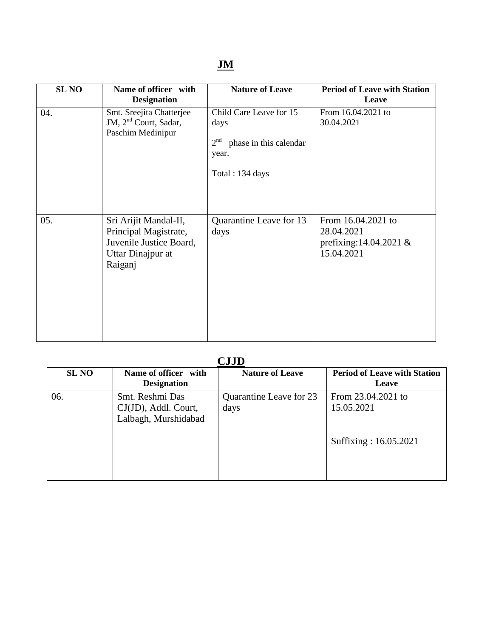| <b>SL NO</b> | Name of officer with<br><b>Designation</b>                                                                | <b>Nature of Leave</b>                                                                                   | <b>Period of Leave with Station</b><br>Leave                               |
|--------------|-----------------------------------------------------------------------------------------------------------|----------------------------------------------------------------------------------------------------------|----------------------------------------------------------------------------|
| 04.          | Smt. Sreejita Chatterjee<br>JM, 2 <sup>nd</sup> Court, Sadar,<br>Paschim Medinipur                        | Child Care Leave for 15<br>days<br>2 <sup>nd</sup><br>phase in this calendar<br>year.<br>Total: 134 days | From 16.04.2021 to<br>30.04.2021                                           |
| 05.          | Sri Arijit Mandal-II,<br>Principal Magistrate,<br>Juvenile Justice Board,<br>Uttar Dinajpur at<br>Raiganj | Quarantine Leave for 13<br>days                                                                          | From 16.04.2021 to<br>28.04.2021<br>prefixing:14.04.2021 $&$<br>15.04.2021 |

| <b>CJJD</b>  |                                                                 |                                 |                                                           |  |
|--------------|-----------------------------------------------------------------|---------------------------------|-----------------------------------------------------------|--|
| <b>SL NO</b> | Name of officer with<br><b>Designation</b>                      | <b>Nature of Leave</b>          | <b>Period of Leave with Station</b><br>Leave              |  |
| 06.          | Smt. Reshmi Das<br>CJ(JD), Addl. Court,<br>Lalbagh, Murshidabad | Quarantine Leave for 23<br>days | From 23.04.2021 to<br>15.05.2021<br>Suffixing: 16.05.2021 |  |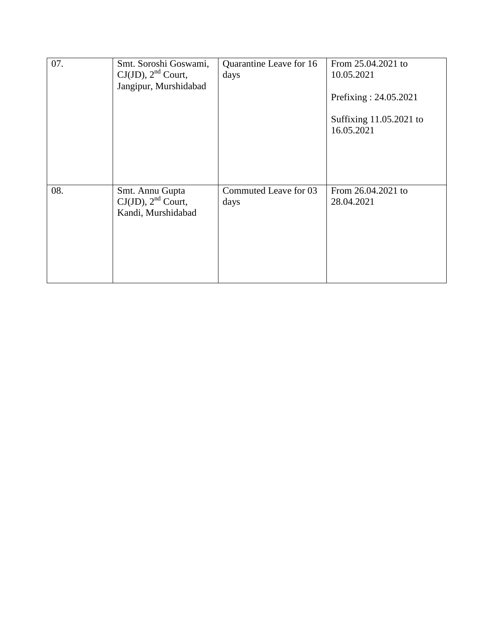| 07. | Smt. Soroshi Goswami,<br>$CJ(JD)$ , $2nd$ Court,<br>Jangipur, Murshidabad | Quarantine Leave for 16<br>days | From 25.04.2021 to<br>10.05.2021<br>Prefixing: 24.05.2021<br>Suffixing 11.05.2021 to<br>16.05.2021 |
|-----|---------------------------------------------------------------------------|---------------------------------|----------------------------------------------------------------------------------------------------|
| 08. | Smt. Annu Gupta<br>$CJ(JD)$ , $2nd$ Court,<br>Kandi, Murshidabad          | Commuted Leave for 03<br>days   | From 26.04.2021 to<br>28.04.2021                                                                   |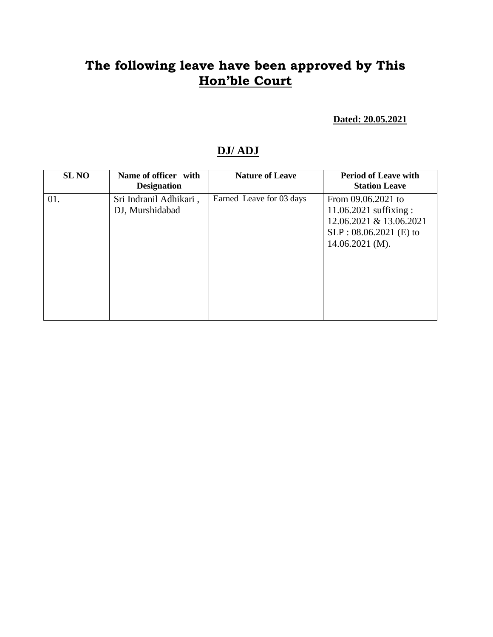**Dated: 20.05.2021**

#### **DJ/ ADJ**

| <b>SL NO</b> | Name of officer with<br><b>Designation</b> | <b>Nature of Leave</b>   | <b>Period of Leave with</b><br><b>Station Leave</b>                                                                        |
|--------------|--------------------------------------------|--------------------------|----------------------------------------------------------------------------------------------------------------------------|
| 01.          | Sri Indranil Adhikari,<br>DJ, Murshidabad  | Earned Leave for 03 days | From 09.06.2021 to<br>$11.06.2021$ suffixing :<br>12.06.2021 & 13.06.2021<br>$SLP: 08.06.2021$ (E) to<br>$14.06.2021$ (M). |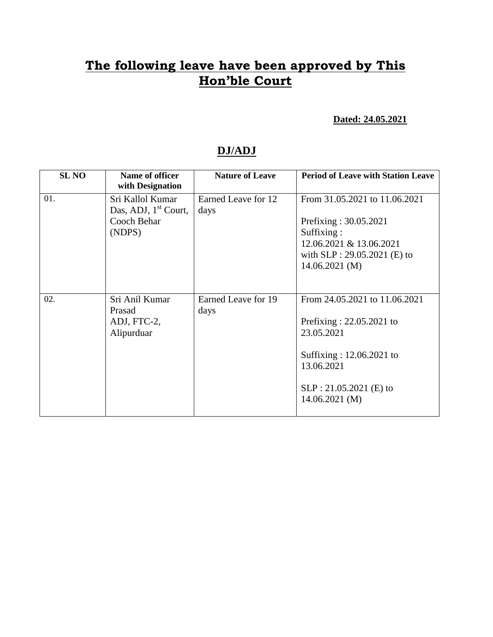**Dated: 24.05.2021**

#### **DJ/ADJ**

| <b>SL NO</b> | Name of officer<br>with Designation                                           | <b>Nature of Leave</b>      | <b>Period of Leave with Station Leave</b>                                                                                                                         |
|--------------|-------------------------------------------------------------------------------|-----------------------------|-------------------------------------------------------------------------------------------------------------------------------------------------------------------|
| 01.          | Sri Kallol Kumar<br>Das, ADJ, 1 <sup>st</sup> Court,<br>Cooch Behar<br>(NDPS) | Earned Leave for 12<br>days | From 31.05.2021 to 11.06.2021<br>Prefixing: 30.05.2021<br>Suffixing:<br>12.06.2021 & 13.06.2021<br>with $SLP: 29.05.2021$ (E) to<br>$14.06.2021$ (M)              |
| 02.          | Sri Anil Kumar<br>Prasad<br>ADJ, FTC-2,<br>Alipurduar                         | Earned Leave for 19<br>days | From 24.05.2021 to 11.06.2021<br>Prefixing: $22.05.2021$ to<br>23.05.2021<br>Suffixing: 12.06.2021 to<br>13.06.2021<br>SLP: 21.05.2021 (E) to<br>$14.06.2021$ (M) |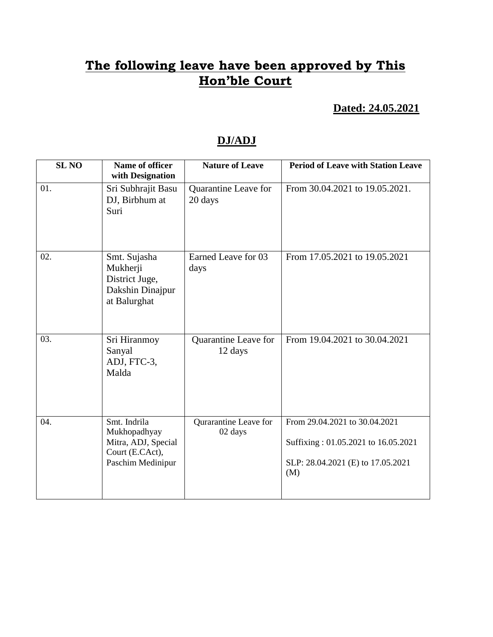**Dated: 24.05.2021**

#### **DJ/ADJ**

| <b>SL NO</b> | <b>Name of officer</b><br>with Designation                                                  | <b>Nature of Leave</b>           | <b>Period of Leave with Station Leave</b>                                                                        |
|--------------|---------------------------------------------------------------------------------------------|----------------------------------|------------------------------------------------------------------------------------------------------------------|
| 01.          | Sri Subhrajit Basu<br>DJ, Birbhum at<br>Suri                                                | Quarantine Leave for<br>20 days  | From 30.04.2021 to 19.05.2021.                                                                                   |
| 02.          | Smt. Sujasha<br>Mukherji<br>District Juge,<br>Dakshin Dinajpur<br>at Balurghat              | Earned Leave for 03<br>days      | From 17.05.2021 to 19.05.2021                                                                                    |
| 03.          | Sri Hiranmoy<br>Sanyal<br>ADJ, FTC-3,<br>Malda                                              | Quarantine Leave for<br>12 days  | From 19.04.2021 to 30.04.2021                                                                                    |
| 04.          | Smt. Indrila<br>Mukhopadhyay<br>Mitra, ADJ, Special<br>Court (E.CAct),<br>Paschim Medinipur | Qurarantine Leave for<br>02 days | From 29.04.2021 to 30.04.2021<br>Suffixing: 01.05.2021 to 16.05.2021<br>SLP: 28.04.2021 (E) to 17.05.2021<br>(M) |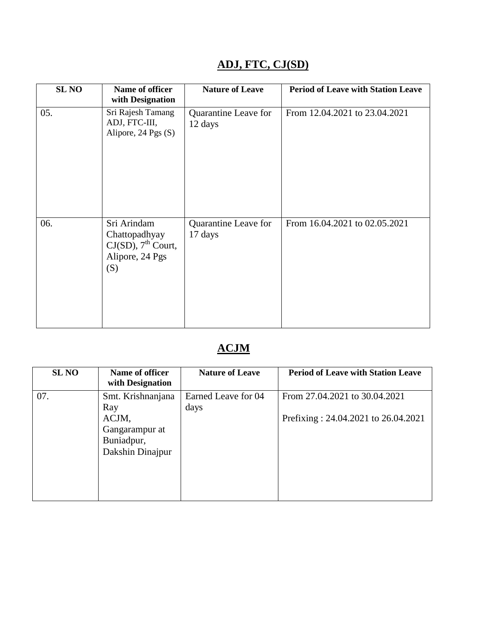| <b>SL NO</b> | Name of officer<br>with Designation                                               | <b>Nature of Leave</b>          | <b>Period of Leave with Station Leave</b> |
|--------------|-----------------------------------------------------------------------------------|---------------------------------|-------------------------------------------|
| 05.          | Sri Rajesh Tamang<br>ADJ, FTC-III,<br>Alipore, 24 Pgs (S)                         | Quarantine Leave for<br>12 days | From 12.04.2021 to 23.04.2021             |
| 06.          | Sri Arindam<br>Chattopadhyay<br>$CJ(SD)$ , $7th$ Court,<br>Alipore, 24 Pgs<br>(S) | Quarantine Leave for<br>17 days | From 16.04.2021 to 02.05.2021             |

### **ADJ, FTC, CJ(SD)**

### **ACJM**

| <b>SL NO</b> | Name of officer<br>with Designation                       | <b>Nature of Leave</b>      | <b>Period of Leave with Station Leave</b> |
|--------------|-----------------------------------------------------------|-----------------------------|-------------------------------------------|
| 07.          | Smt. Krishnanjana<br>Ray                                  | Earned Leave for 04<br>days | From 27.04.2021 to 30.04.2021             |
|              | ACJM,<br>Gangarampur at<br>Buniadpur,<br>Dakshin Dinajpur |                             | Prefixing: 24.04.2021 to 26.04.2021       |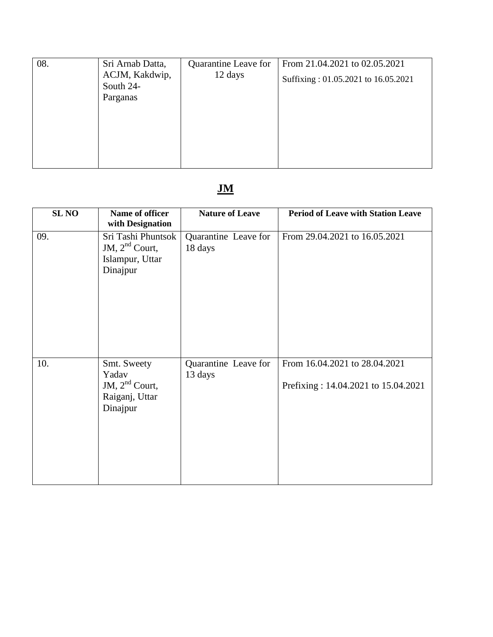| 08. | Sri Arnab Datta, | Quarantine Leave for | From 21.04.2021 to 02.05.2021       |
|-----|------------------|----------------------|-------------------------------------|
|     | ACJM, Kakdwip,   | 12 days              | Suffixing: 01.05.2021 to 16.05.2021 |
|     | South 24-        |                      |                                     |
|     | Parganas         |                      |                                     |
|     |                  |                      |                                     |
|     |                  |                      |                                     |
|     |                  |                      |                                     |
|     |                  |                      |                                     |
|     |                  |                      |                                     |
|     |                  |                      |                                     |

# **JM**

| <b>SLNO</b> | Name of officer<br>with Designation                                    | <b>Nature of Leave</b>          | <b>Period of Leave with Station Leave</b>                            |
|-------------|------------------------------------------------------------------------|---------------------------------|----------------------------------------------------------------------|
| 09.         | Sri Tashi Phuntsok<br>JM, $2nd$ Court,<br>Islampur, Uttar<br>Dinajpur  | Quarantine Leave for<br>18 days | From 29.04.2021 to 16.05.2021                                        |
| 10.         | Smt. Sweety<br>Yadav<br>JM, $2nd$ Court,<br>Raiganj, Uttar<br>Dinajpur | Quarantine Leave for<br>13 days | From 16.04.2021 to 28.04.2021<br>Prefixing: 14.04.2021 to 15.04.2021 |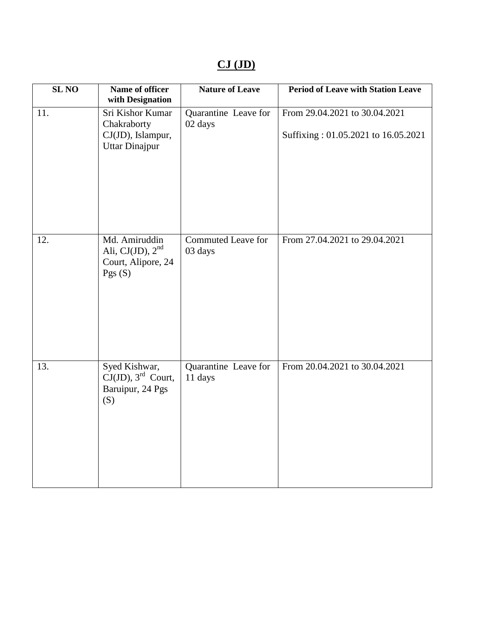## **CJ (JD)**

| <b>SL NO</b> | Name of officer<br>with Designation                                                             | <b>Nature of Leave</b>               | <b>Period of Leave with Station Leave</b>                            |
|--------------|-------------------------------------------------------------------------------------------------|--------------------------------------|----------------------------------------------------------------------|
| 11.          | Sri Kishor Kumar<br>Chakraborty<br>CJ(JD), Islampur,<br>Uttar Dinajpur                          | Quarantine Leave for<br>02 days      | From 29.04.2021 to 30.04.2021<br>Suffixing: 01.05.2021 to 16.05.2021 |
| 12.          | Md. Amiruddin<br>Ali, CJ $(JD)$ , $2nd$<br>Court, Alipore, 24<br>Pgs $(S)$                      | <b>Commuted Leave for</b><br>03 days | From 27.04.2021 to 29.04.2021                                        |
| 13.          | Syed Kishwar,<br>$\mathrm{CJ}(\mathrm{JD})$ , 3 <sup>rd</sup> Court,<br>Baruipur, 24 Pgs<br>(S) | Quarantine Leave for<br>11 days      | From 20.04.2021 to 30.04.2021                                        |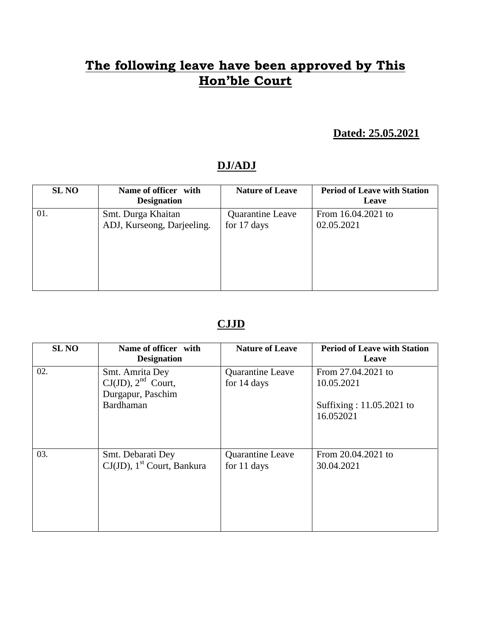#### **Dated: 25.05.2021**

#### **DJ/ADJ**

| <b>SL NO</b> | Name of officer with<br><b>Designation</b> | <b>Nature of Leave</b> | <b>Period of Leave with Station</b><br>Leave |
|--------------|--------------------------------------------|------------------------|----------------------------------------------|
| 01.          | Smt. Durga Khaitan                         | Quarantine Leave       | From 16.04.2021 to                           |
|              | ADJ, Kurseong, Darjeeling.                 | for 17 days            | 02.05.2021                                   |

#### **CJJD**

| <b>SL NO</b> | Name of officer with<br><b>Designation</b>                                   | <b>Nature of Leave</b>                 | <b>Period of Leave with Station</b><br>Leave                              |
|--------------|------------------------------------------------------------------------------|----------------------------------------|---------------------------------------------------------------------------|
| 02.          | Smt. Amrita Dey<br>$CJ(JD)$ , $2nd$ Court,<br>Durgapur, Paschim<br>Bardhaman | <b>Quarantine Leave</b><br>for 14 days | From 27.04.2021 to<br>10.05.2021<br>Suffixing: 11.05.2021 to<br>16.052021 |
| 03.          | Smt. Debarati Dey<br>CJ(JD), 1 <sup>st</sup> Court, Bankura                  | Quarantine Leave<br>for 11 days        | From 20.04.2021 to<br>30.04.2021                                          |